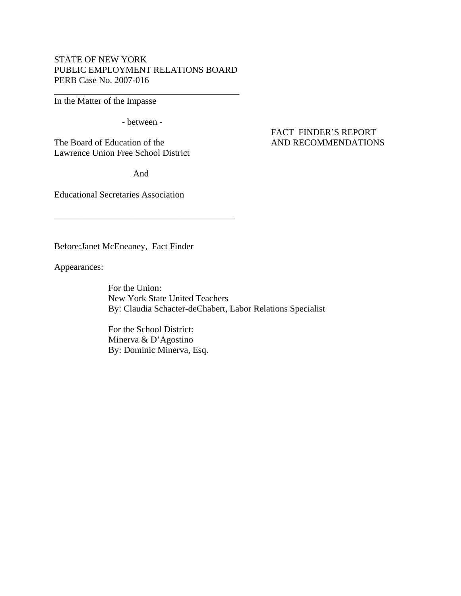# STATE OF NEW YORK PUBLIC EMPLOYMENT RELATIONS BOARD PERB Case No. 2007-016

\_\_\_\_\_\_\_\_\_\_\_\_\_\_\_\_\_\_\_\_\_\_\_\_\_\_\_\_\_\_\_\_\_\_\_\_\_\_\_\_\_

In the Matter of the Impasse

- between -

The Board of Education of the AND RECOMMENDATIONS Lawrence Union Free School District

And

\_\_\_\_\_\_\_\_\_\_\_\_\_\_\_\_\_\_\_\_\_\_\_\_\_\_\_\_\_\_\_\_\_\_\_\_\_\_\_\_

Educational Secretaries Association

Before:Janet McEneaney, Fact Finder

Appearances:

 For the Union: New York State United Teachers By: Claudia Schacter-deChabert, Labor Relations Specialist

 For the School District: Minerva & D'Agostino By: Dominic Minerva, Esq.

# FACT FINDER'S REPORT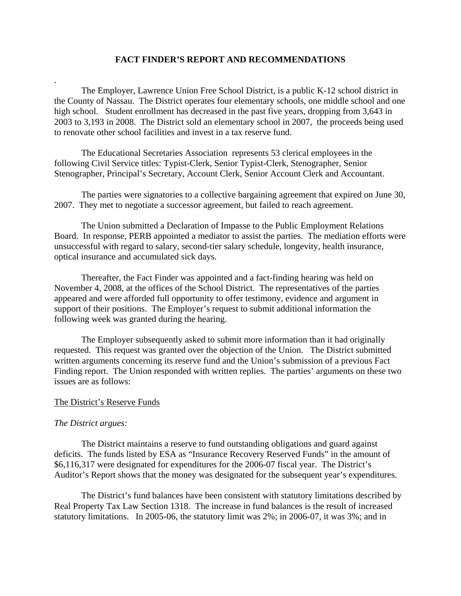# **FACT FINDER'S REPORT AND RECOMMENDATIONS**

 The Employer, Lawrence Union Free School District, is a public K-12 school district in the County of Nassau. The District operates four elementary schools, one middle school and one high school. Student enrollment has decreased in the past five years, dropping from 3,643 in 2003 to 3,193 in 2008. The District sold an elementary school in 2007, the proceeds being used to renovate other school facilities and invest in a tax reserve fund.

 The Educational Secretaries Association represents 53 clerical employees in the following Civil Service titles: Typist-Clerk, Senior Typist-Clerk, Stenographer, Senior Stenographer, Principal's Secretary, Account Clerk, Senior Account Clerk and Accountant.

 The parties were signatories to a collective bargaining agreement that expired on June 30, 2007. They met to negotiate a successor agreement, but failed to reach agreement.

 The Union submitted a Declaration of Impasse to the Public Employment Relations Board. In response, PERB appointed a mediator to assist the parties. The mediation efforts were unsuccessful with regard to salary, second-tier salary schedule, longevity, health insurance, optical insurance and accumulated sick days.

 Thereafter, the Fact Finder was appointed and a fact-finding hearing was held on November 4, 2008, at the offices of the School District. The representatives of the parties appeared and were afforded full opportunity to offer testimony, evidence and argument in support of their positions. The Employer's request to submit additional information the following week was granted during the hearing.

 The Employer subsequently asked to submit more information than it had originally requested. This request was granted over the objection of the Union. The District submitted written arguments concerning its reserve fund and the Union's submission of a previous Fact Finding report. The Union responded with written replies. The parties' arguments on these two issues are as follows:

# The District's Reserve Funds

# *The District argues:*

.

 The District maintains a reserve to fund outstanding obligations and guard against deficits. The funds listed by ESA as "Insurance Recovery Reserved Funds" in the amount of \$6,116,317 were designated for expenditures for the 2006-07 fiscal year. The District's Auditor's Report shows that the money was designated for the subsequent year's expenditures.

 The District's fund balances have been consistent with statutory limitations described by Real Property Tax Law Section 1318. The increase in fund balances is the result of increased statutory limitations. In 2005-06, the statutory limit was 2%; in 2006-07, it was 3%; and in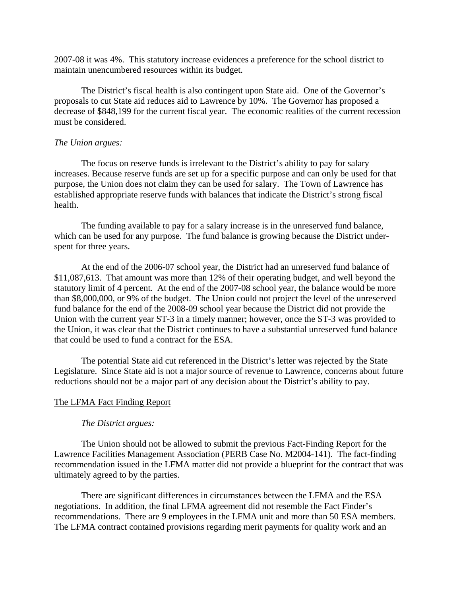2007-08 it was 4%. This statutory increase evidences a preference for the school district to maintain unencumbered resources within its budget.

 The District's fiscal health is also contingent upon State aid. One of the Governor's proposals to cut State aid reduces aid to Lawrence by 10%. The Governor has proposed a decrease of \$848,199 for the current fiscal year. The economic realities of the current recession must be considered.

#### *The Union argues:*

 The focus on reserve funds is irrelevant to the District's ability to pay for salary increases. Because reserve funds are set up for a specific purpose and can only be used for that purpose, the Union does not claim they can be used for salary. The Town of Lawrence has established appropriate reserve funds with balances that indicate the District's strong fiscal health.

 The funding available to pay for a salary increase is in the unreserved fund balance, which can be used for any purpose. The fund balance is growing because the District underspent for three years.

 At the end of the 2006-07 school year, the District had an unreserved fund balance of \$11,087,613. That amount was more than 12% of their operating budget, and well beyond the statutory limit of 4 percent. At the end of the 2007-08 school year, the balance would be more than \$8,000,000, or 9% of the budget. The Union could not project the level of the unreserved fund balance for the end of the 2008-09 school year because the District did not provide the Union with the current year ST-3 in a timely manner; however, once the ST-3 was provided to the Union, it was clear that the District continues to have a substantial unreserved fund balance that could be used to fund a contract for the ESA.

 The potential State aid cut referenced in the District's letter was rejected by the State Legislature. Since State aid is not a major source of revenue to Lawrence, concerns about future reductions should not be a major part of any decision about the District's ability to pay.

# The LFMA Fact Finding Report

# *The District argues:*

The Union should not be allowed to submit the previous Fact-Finding Report for the Lawrence Facilities Management Association (PERB Case No. M2004-141). The fact-finding recommendation issued in the LFMA matter did not provide a blueprint for the contract that was ultimately agreed to by the parties.

 There are significant differences in circumstances between the LFMA and the ESA negotiations. In addition, the final LFMA agreement did not resemble the Fact Finder's recommendations. There are 9 employees in the LFMA unit and more than 50 ESA members. The LFMA contract contained provisions regarding merit payments for quality work and an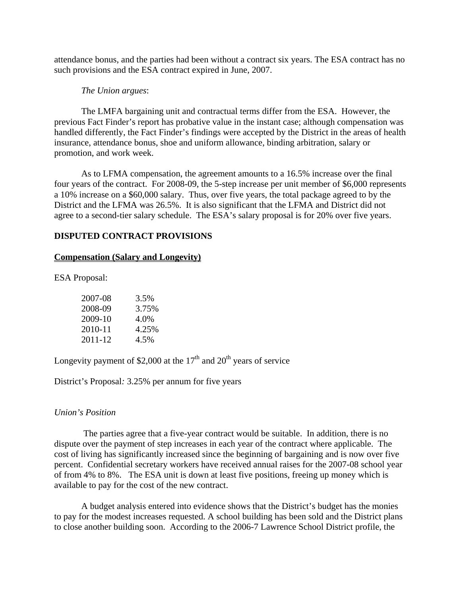attendance bonus, and the parties had been without a contract six years. The ESA contract has no such provisions and the ESA contract expired in June, 2007.

# *The Union argues*:

 The LMFA bargaining unit and contractual terms differ from the ESA. However, the previous Fact Finder's report has probative value in the instant case; although compensation was handled differently, the Fact Finder's findings were accepted by the District in the areas of health insurance, attendance bonus, shoe and uniform allowance, binding arbitration, salary or promotion, and work week.

 As to LFMA compensation, the agreement amounts to a 16.5% increase over the final four years of the contract. For 2008-09, the 5-step increase per unit member of \$6,000 represents a 10% increase on a \$60,000 salary. Thus, over five years, the total package agreed to by the District and the LFMA was 26.5%. It is also significant that the LFMA and District did not agree to a second-tier salary schedule. The ESA's salary proposal is for 20% over five years.

# **DISPUTED CONTRACT PROVISIONS**

### **Compensation (Salary and Longevity)**

ESA Proposal:

| 2007-08 | 3.5%  |
|---------|-------|
| 2008-09 | 3.75% |
| 2009-10 | 4.0%  |
| 2010-11 | 4.25% |
| 2011-12 | 4.5%  |

Longevity payment of \$2,000 at the  $17<sup>th</sup>$  and  $20<sup>th</sup>$  years of service

District's Proposal*:* 3.25% per annum for five years

#### *Union's Position*

 The parties agree that a five-year contract would be suitable. In addition, there is no dispute over the payment of step increases in each year of the contract where applicable. The cost of living has significantly increased since the beginning of bargaining and is now over five percent. Confidential secretary workers have received annual raises for the 2007-08 school year of from 4% to 8%. The ESA unit is down at least five positions, freeing up money which is available to pay for the cost of the new contract.

 A budget analysis entered into evidence shows that the District's budget has the monies to pay for the modest increases requested. A school building has been sold and the District plans to close another building soon. According to the 2006-7 Lawrence School District profile, the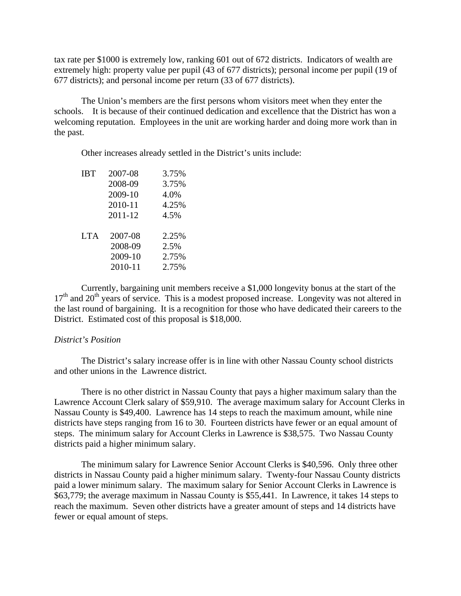tax rate per \$1000 is extremely low, ranking 601 out of 672 districts. Indicators of wealth are extremely high: property value per pupil (43 of 677 districts); personal income per pupil (19 of 677 districts); and personal income per return (33 of 677 districts).

 The Union's members are the first persons whom visitors meet when they enter the schools. It is because of their continued dedication and excellence that the District has won a welcoming reputation. Employees in the unit are working harder and doing more work than in the past.

Other increases already settled in the District's units include:

| 2007-08 | 3.75% |
|---------|-------|
| 2008-09 | 3.75% |
| 2009-10 | 4.0%  |
| 2010-11 | 4.25% |
| 2011-12 | 4.5%  |
|         |       |
| 2007-08 | 2.25% |
| 2008-09 | 2.5%  |
| 2009-10 | 2.75% |
| 2010-11 | 2.75% |
|         |       |

 Currently, bargaining unit members receive a \$1,000 longevity bonus at the start of the  $17<sup>th</sup>$  and  $20<sup>th</sup>$  years of service. This is a modest proposed increase. Longevity was not altered in the last round of bargaining. It is a recognition for those who have dedicated their careers to the District. Estimated cost of this proposal is \$18,000.

### *District's Position*

 The District's salary increase offer is in line with other Nassau County school districts and other unions in the Lawrence district.

 There is no other district in Nassau County that pays a higher maximum salary than the Lawrence Account Clerk salary of \$59,910. The average maximum salary for Account Clerks in Nassau County is \$49,400. Lawrence has 14 steps to reach the maximum amount, while nine districts have steps ranging from 16 to 30. Fourteen districts have fewer or an equal amount of steps. The minimum salary for Account Clerks in Lawrence is \$38,575. Two Nassau County districts paid a higher minimum salary.

 The minimum salary for Lawrence Senior Account Clerks is \$40,596. Only three other districts in Nassau County paid a higher minimum salary. Twenty-four Nassau County districts paid a lower minimum salary. The maximum salary for Senior Account Clerks in Lawrence is \$63,779; the average maximum in Nassau County is \$55,441. In Lawrence, it takes 14 steps to reach the maximum. Seven other districts have a greater amount of steps and 14 districts have fewer or equal amount of steps.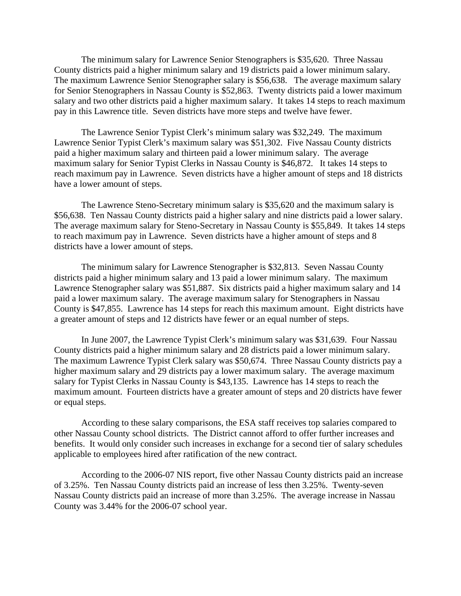The minimum salary for Lawrence Senior Stenographers is \$35,620. Three Nassau County districts paid a higher minimum salary and 19 districts paid a lower minimum salary. The maximum Lawrence Senior Stenographer salary is \$56,638. The average maximum salary for Senior Stenographers in Nassau County is \$52,863. Twenty districts paid a lower maximum salary and two other districts paid a higher maximum salary. It takes 14 steps to reach maximum pay in this Lawrence title. Seven districts have more steps and twelve have fewer.

 The Lawrence Senior Typist Clerk's minimum salary was \$32,249. The maximum Lawrence Senior Typist Clerk's maximum salary was \$51,302. Five Nassau County districts paid a higher maximum salary and thirteen paid a lower minimum salary. The average maximum salary for Senior Typist Clerks in Nassau County is \$46,872. It takes 14 steps to reach maximum pay in Lawrence. Seven districts have a higher amount of steps and 18 districts have a lower amount of steps.

 The Lawrence Steno-Secretary minimum salary is \$35,620 and the maximum salary is \$56,638. Ten Nassau County districts paid a higher salary and nine districts paid a lower salary. The average maximum salary for Steno-Secretary in Nassau County is \$55,849. It takes 14 steps to reach maximum pay in Lawrence. Seven districts have a higher amount of steps and 8 districts have a lower amount of steps.

 The minimum salary for Lawrence Stenographer is \$32,813. Seven Nassau County districts paid a higher minimum salary and 13 paid a lower minimum salary. The maximum Lawrence Stenographer salary was \$51,887. Six districts paid a higher maximum salary and 14 paid a lower maximum salary. The average maximum salary for Stenographers in Nassau County is \$47,855. Lawrence has 14 steps for reach this maximum amount. Eight districts have a greater amount of steps and 12 districts have fewer or an equal number of steps.

 In June 2007, the Lawrence Typist Clerk's minimum salary was \$31,639. Four Nassau County districts paid a higher minimum salary and 28 districts paid a lower minimum salary. The maximum Lawrence Typist Clerk salary was \$50,674. Three Nassau County districts pay a higher maximum salary and 29 districts pay a lower maximum salary. The average maximum salary for Typist Clerks in Nassau County is \$43,135. Lawrence has 14 steps to reach the maximum amount. Fourteen districts have a greater amount of steps and 20 districts have fewer or equal steps.

According to these salary comparisons, the ESA staff receives top salaries compared to other Nassau County school districts. The District cannot afford to offer further increases and benefits. It would only consider such increases in exchange for a second tier of salary schedules applicable to employees hired after ratification of the new contract.

 According to the 2006-07 NIS report, five other Nassau County districts paid an increase of 3.25%. Ten Nassau County districts paid an increase of less then 3.25%. Twenty-seven Nassau County districts paid an increase of more than 3.25%. The average increase in Nassau County was 3.44% for the 2006-07 school year.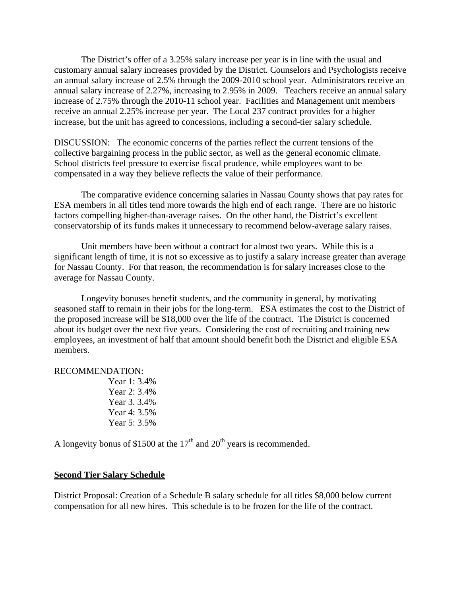The District's offer of a 3.25% salary increase per year is in line with the usual and customary annual salary increases provided by the District. Counselors and Psychologists receive an annual salary increase of 2.5% through the 2009-2010 school year. Administrators receive an annual salary increase of 2.27%, increasing to 2.95% in 2009. Teachers receive an annual salary increase of 2.75% through the 2010-11 school year. Facilities and Management unit members receive an annual 2.25% increase per year. The Local 237 contract provides for a higher increase, but the unit has agreed to concessions, including a second-tier salary schedule.

DISCUSSION: The economic concerns of the parties reflect the current tensions of the collective bargaining process in the public sector, as well as the general economic climate. School districts feel pressure to exercise fiscal prudence, while employees want to be compensated in a way they believe reflects the value of their performance.

 The comparative evidence concerning salaries in Nassau County shows that pay rates for ESA members in all titles tend more towards the high end of each range. There are no historic factors compelling higher-than-average raises. On the other hand, the District's excellent conservatorship of its funds makes it unnecessary to recommend below-average salary raises.

 Unit members have been without a contract for almost two years. While this is a significant length of time, it is not so excessive as to justify a salary increase greater than average for Nassau County. For that reason, the recommendation is for salary increases close to the average for Nassau County.

 Longevity bonuses benefit students, and the community in general, by motivating seasoned staff to remain in their jobs for the long-term. ESA estimates the cost to the District of the proposed increase will be \$18,000 over the life of the contract. The District is concerned about its budget over the next five years. Considering the cost of recruiting and training new employees, an investment of half that amount should benefit both the District and eligible ESA members.

#### RECOMMENDATION:

 Year 1: 3.4% Year 2: 3.4% Year 3. 3.4% Year 4: 3.5% Year 5: 3.5%

A longevity bonus of \$1500 at the  $17<sup>th</sup>$  and  $20<sup>th</sup>$  years is recommended.

# **Second Tier Salary Schedule**

District Proposal: Creation of a Schedule B salary schedule for all titles \$8,000 below current compensation for all new hires. This schedule is to be frozen for the life of the contract.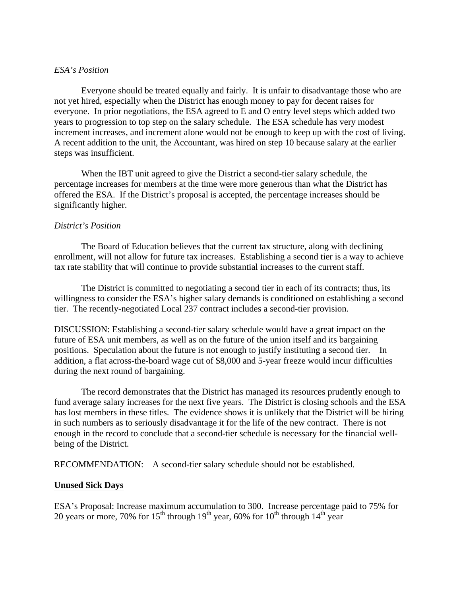# *ESA's Position*

 Everyone should be treated equally and fairly. It is unfair to disadvantage those who are not yet hired, especially when the District has enough money to pay for decent raises for everyone. In prior negotiations, the ESA agreed to E and O entry level steps which added two years to progression to top step on the salary schedule. The ESA schedule has very modest increment increases, and increment alone would not be enough to keep up with the cost of living. A recent addition to the unit, the Accountant, was hired on step 10 because salary at the earlier steps was insufficient.

 When the IBT unit agreed to give the District a second-tier salary schedule, the percentage increases for members at the time were more generous than what the District has offered the ESA. If the District's proposal is accepted, the percentage increases should be significantly higher.

# *District's Position*

 The Board of Education believes that the current tax structure, along with declining enrollment, will not allow for future tax increases. Establishing a second tier is a way to achieve tax rate stability that will continue to provide substantial increases to the current staff.

 The District is committed to negotiating a second tier in each of its contracts; thus, its willingness to consider the ESA's higher salary demands is conditioned on establishing a second tier. The recently-negotiated Local 237 contract includes a second-tier provision.

DISCUSSION: Establishing a second-tier salary schedule would have a great impact on the future of ESA unit members, as well as on the future of the union itself and its bargaining positions. Speculation about the future is not enough to justify instituting a second tier. In addition, a flat across-the-board wage cut of \$8,000 and 5-year freeze would incur difficulties during the next round of bargaining.

 The record demonstrates that the District has managed its resources prudently enough to fund average salary increases for the next five years. The District is closing schools and the ESA has lost members in these titles. The evidence shows it is unlikely that the District will be hiring in such numbers as to seriously disadvantage it for the life of the new contract. There is not enough in the record to conclude that a second-tier schedule is necessary for the financial wellbeing of the District.

RECOMMENDATION: A second-tier salary schedule should not be established.

# **Unused Sick Days**

ESA's Proposal: Increase maximum accumulation to 300. Increase percentage paid to 75% for 20 years or more, 70% for 15<sup>th</sup> through 19<sup>th</sup> year, 60% for 10<sup>th</sup> through 14<sup>th</sup> year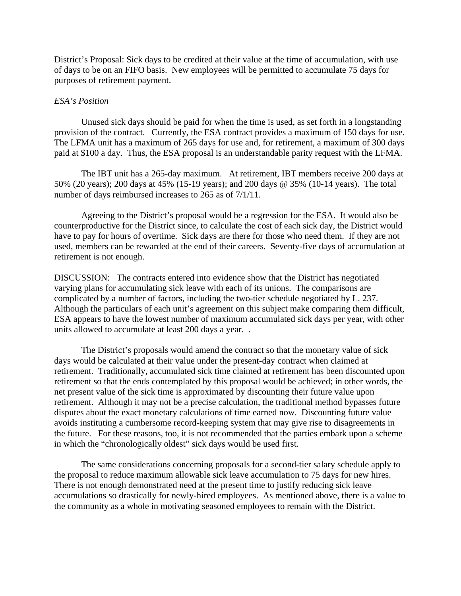District's Proposal: Sick days to be credited at their value at the time of accumulation, with use of days to be on an FIFO basis. New employees will be permitted to accumulate 75 days for purposes of retirement payment.

### *ESA's Position*

 Unused sick days should be paid for when the time is used, as set forth in a longstanding provision of the contract. Currently, the ESA contract provides a maximum of 150 days for use. The LFMA unit has a maximum of 265 days for use and, for retirement, a maximum of 300 days paid at \$100 a day. Thus, the ESA proposal is an understandable parity request with the LFMA.

 The IBT unit has a 265-day maximum. At retirement, IBT members receive 200 days at 50% (20 years); 200 days at 45% (15-19 years); and 200 days @ 35% (10-14 years). The total number of days reimbursed increases to 265 as of 7/1/11.

 Agreeing to the District's proposal would be a regression for the ESA. It would also be counterproductive for the District since, to calculate the cost of each sick day, the District would have to pay for hours of overtime. Sick days are there for those who need them. If they are not used, members can be rewarded at the end of their careers. Seventy-five days of accumulation at retirement is not enough.

DISCUSSION: The contracts entered into evidence show that the District has negotiated varying plans for accumulating sick leave with each of its unions. The comparisons are complicated by a number of factors, including the two-tier schedule negotiated by L. 237. Although the particulars of each unit's agreement on this subject make comparing them difficult, ESA appears to have the lowest number of maximum accumulated sick days per year, with other units allowed to accumulate at least 200 days a year. .

 The District's proposals would amend the contract so that the monetary value of sick days would be calculated at their value under the present-day contract when claimed at retirement. Traditionally, accumulated sick time claimed at retirement has been discounted upon retirement so that the ends contemplated by this proposal would be achieved; in other words, the net present value of the sick time is approximated by discounting their future value upon retirement. Although it may not be a precise calculation, the traditional method bypasses future disputes about the exact monetary calculations of time earned now. Discounting future value avoids instituting a cumbersome record-keeping system that may give rise to disagreements in the future. For these reasons, too, it is not recommended that the parties embark upon a scheme in which the "chronologically oldest" sick days would be used first.

 The same considerations concerning proposals for a second-tier salary schedule apply to the proposal to reduce maximum allowable sick leave accumulation to 75 days for new hires. There is not enough demonstrated need at the present time to justify reducing sick leave accumulations so drastically for newly-hired employees. As mentioned above, there is a value to the community as a whole in motivating seasoned employees to remain with the District.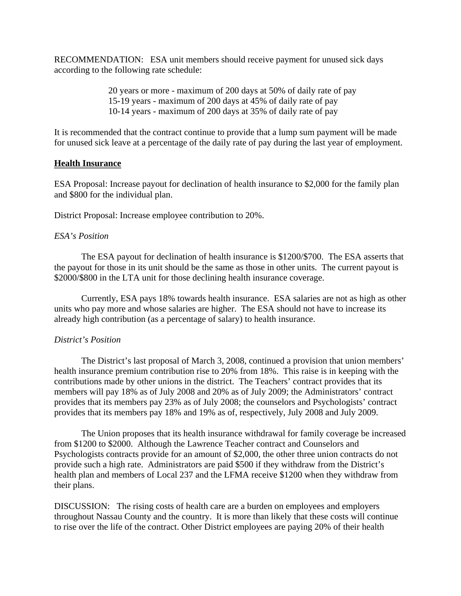RECOMMENDATION: ESA unit members should receive payment for unused sick days according to the following rate schedule:

> 20 years or more - maximum of 200 days at 50% of daily rate of pay 15-19 years - maximum of 200 days at 45% of daily rate of pay 10-14 years - maximum of 200 days at 35% of daily rate of pay

It is recommended that the contract continue to provide that a lump sum payment will be made for unused sick leave at a percentage of the daily rate of pay during the last year of employment.

# **Health Insurance**

ESA Proposal: Increase payout for declination of health insurance to \$2,000 for the family plan and \$800 for the individual plan.

District Proposal: Increase employee contribution to 20%.

# *ESA's Position*

 The ESA payout for declination of health insurance is \$1200/\$700. The ESA asserts that the payout for those in its unit should be the same as those in other units. The current payout is \$2000/\$800 in the LTA unit for those declining health insurance coverage.

 Currently, ESA pays 18% towards health insurance. ESA salaries are not as high as other units who pay more and whose salaries are higher. The ESA should not have to increase its already high contribution (as a percentage of salary) to health insurance.

# *District's Position*

 The District's last proposal of March 3, 2008, continued a provision that union members' health insurance premium contribution rise to 20% from 18%. This raise is in keeping with the contributions made by other unions in the district. The Teachers' contract provides that its members will pay 18% as of July 2008 and 20% as of July 2009; the Administrators' contract provides that its members pay 23% as of July 2008; the counselors and Psychologists' contract provides that its members pay 18% and 19% as of, respectively, July 2008 and July 2009.

 The Union proposes that its health insurance withdrawal for family coverage be increased from \$1200 to \$2000. Although the Lawrence Teacher contract and Counselors and Psychologists contracts provide for an amount of \$2,000, the other three union contracts do not provide such a high rate. Administrators are paid \$500 if they withdraw from the District's health plan and members of Local 237 and the LFMA receive \$1200 when they withdraw from their plans.

DISCUSSION: The rising costs of health care are a burden on employees and employers throughout Nassau County and the country. It is more than likely that these costs will continue to rise over the life of the contract. Other District employees are paying 20% of their health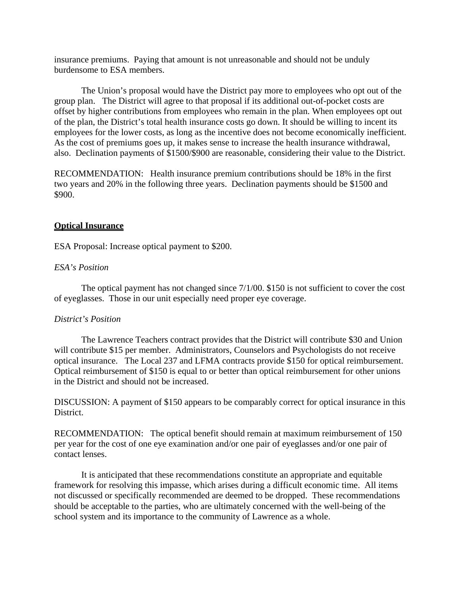insurance premiums. Paying that amount is not unreasonable and should not be unduly burdensome to ESA members.

 The Union's proposal would have the District pay more to employees who opt out of the group plan. The District will agree to that proposal if its additional out-of-pocket costs are offset by higher contributions from employees who remain in the plan. When employees opt out of the plan, the District's total health insurance costs go down. It should be willing to incent its employees for the lower costs, as long as the incentive does not become economically inefficient. As the cost of premiums goes up, it makes sense to increase the health insurance withdrawal, also. Declination payments of \$1500/\$900 are reasonable, considering their value to the District.

RECOMMENDATION: Health insurance premium contributions should be 18% in the first two years and 20% in the following three years. Declination payments should be \$1500 and \$900.

# **Optical Insurance**

ESA Proposal: Increase optical payment to \$200.

# *ESA's Position*

 The optical payment has not changed since 7/1/00. \$150 is not sufficient to cover the cost of eyeglasses. Those in our unit especially need proper eye coverage.

# *District's Position*

 The Lawrence Teachers contract provides that the District will contribute \$30 and Union will contribute \$15 per member. Administrators, Counselors and Psychologists do not receive optical insurance. The Local 237 and LFMA contracts provide \$150 for optical reimbursement. Optical reimbursement of \$150 is equal to or better than optical reimbursement for other unions in the District and should not be increased.

DISCUSSION: A payment of \$150 appears to be comparably correct for optical insurance in this District.

RECOMMENDATION: The optical benefit should remain at maximum reimbursement of 150 per year for the cost of one eye examination and/or one pair of eyeglasses and/or one pair of contact lenses.

 It is anticipated that these recommendations constitute an appropriate and equitable framework for resolving this impasse, which arises during a difficult economic time. All items not discussed or specifically recommended are deemed to be dropped. These recommendations should be acceptable to the parties, who are ultimately concerned with the well-being of the school system and its importance to the community of Lawrence as a whole.